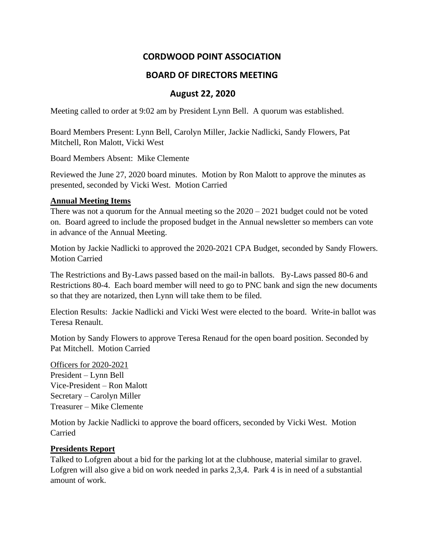# **CORDWOOD POINT ASSOCIATION**

## **BOARD OF DIRECTORS MEETING**

### **August 22, 2020**

Meeting called to order at 9:02 am by President Lynn Bell. A quorum was established.

Board Members Present: Lynn Bell, Carolyn Miller, Jackie Nadlicki, Sandy Flowers, Pat Mitchell, Ron Malott, Vicki West

Board Members Absent: Mike Clemente

Reviewed the June 27, 2020 board minutes. Motion by Ron Malott to approve the minutes as presented, seconded by Vicki West. Motion Carried

#### **Annual Meeting Items**

There was not a quorum for the Annual meeting so the 2020 – 2021 budget could not be voted on. Board agreed to include the proposed budget in the Annual newsletter so members can vote in advance of the Annual Meeting.

Motion by Jackie Nadlicki to approved the 2020-2021 CPA Budget, seconded by Sandy Flowers. Motion Carried

The Restrictions and By-Laws passed based on the mail-in ballots. By-Laws passed 80-6 and Restrictions 80-4. Each board member will need to go to PNC bank and sign the new documents so that they are notarized, then Lynn will take them to be filed.

Election Results: Jackie Nadlicki and Vicki West were elected to the board. Write-in ballot was Teresa Renault.

Motion by Sandy Flowers to approve Teresa Renaud for the open board position. Seconded by Pat Mitchell. Motion Carried

Officers for 2020-2021 President – Lynn Bell Vice-President – Ron Malott Secretary – Carolyn Miller Treasurer – Mike Clemente

Motion by Jackie Nadlicki to approve the board officers, seconded by Vicki West. Motion Carried

#### **Presidents Report**

Talked to Lofgren about a bid for the parking lot at the clubhouse, material similar to gravel. Lofgren will also give a bid on work needed in parks 2,3,4. Park 4 is in need of a substantial amount of work.